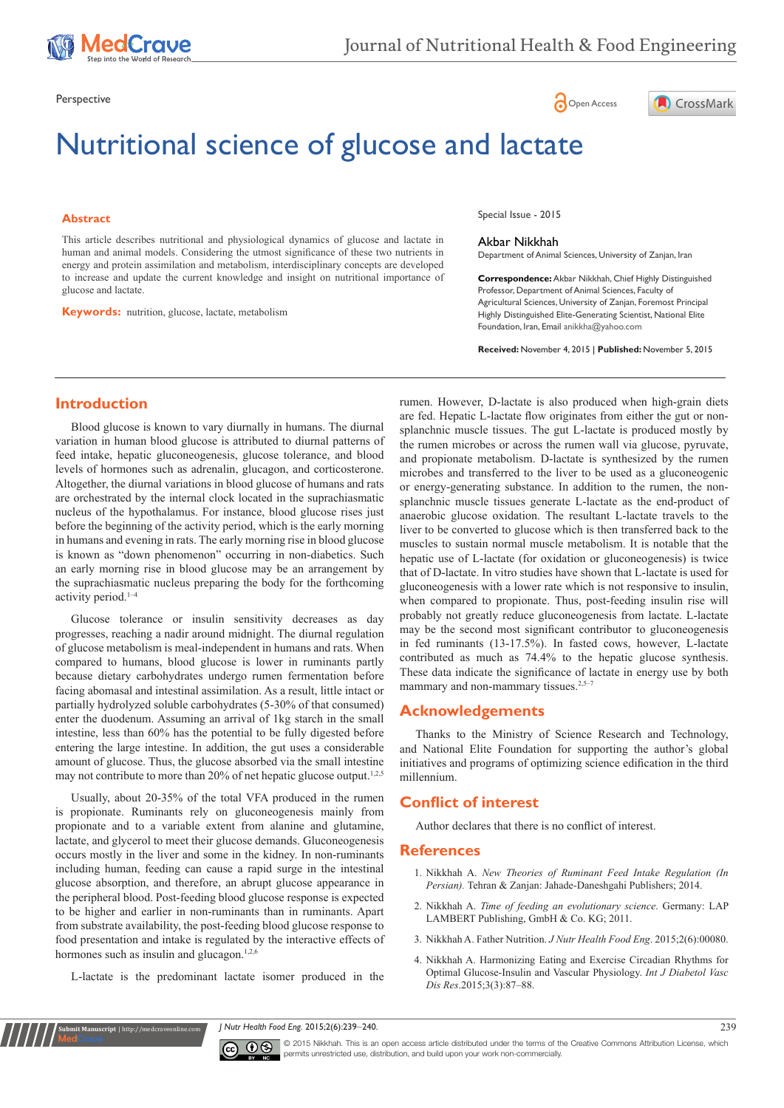

Perspective **Contract Contract Contract Contract Contract Contract Contract Contract Contract Contract Contract Contract Contract Contract Contract Contract Contract Contract Contract Contract Contract Contract Contract Co** 

# Nutritional science of glucose and lactate

#### **Abstract**

This article describes nutritional and physiological dynamics of glucose and lactate in human and animal models. Considering the utmost significance of these two nutrients in energy and protein assimilation and metabolism, interdisciplinary concepts are developed to increase and update the current knowledge and insight on nutritional importance of glucose and lactate.

**Keywords:** nutrition, glucose, lactate, metabolism

Special Issue - 2015

#### Akbar Nikkhah

Department of Animal Sciences, University of Zanjan, Iran

**Correspondence:** Akbar Nikkhah, Chief Highly Distinguished Professor, Department of Animal Sciences, Faculty of Agricultural Sciences, University of Zanjan, Foremost Principal Highly Distinguished Elite-Generating Scientist, National Elite Foundation, Iran, Email anikkha@yahoo.com

CrossMark

**Received:** November 4, 2015 | **Published:** November 5, 2015

# **Introduction**

Blood glucose is known to vary diurnally in humans. The diurnal variation in human blood glucose is attributed to diurnal patterns of feed intake, hepatic gluconeogenesis, glucose tolerance, and blood levels of hormones such as adrenalin, glucagon, and corticosterone. Altogether, the diurnal variations in blood glucose of humans and rats are orchestrated by the internal clock located in the suprachiasmatic nucleus of the hypothalamus. For instance, blood glucose rises just before the beginning of the activity period, which is the early morning in humans and evening in rats. The early morning rise in blood glucose is known as "down phenomenon" occurring in non-diabetics. Such an early morning rise in blood glucose may be an arrangement by the suprachiasmatic nucleus preparing the body for the forthcoming activity period.<sup>1-4</sup>

Glucose tolerance or insulin sensitivity decreases as day progresses, reaching a nadir around midnight. The diurnal regulation of glucose metabolism is meal-independent in humans and rats. When compared to humans, blood glucose is lower in ruminants partly because dietary carbohydrates undergo rumen fermentation before facing abomasal and intestinal assimilation. As a result, little intact or partially hydrolyzed soluble carbohydrates (5-30% of that consumed) enter the duodenum. Assuming an arrival of 1kg starch in the small intestine, less than 60% has the potential to be fully digested before entering the large intestine. In addition, the gut uses a considerable amount of glucose. Thus, the glucose absorbed via the small intestine may not contribute to more than 20% of net hepatic glucose output.<sup>1,2,5</sup>

Usually, about 20-35% of the total VFA produced in the rumen is propionate. Ruminants rely on gluconeogenesis mainly from propionate and to a variable extent from alanine and glutamine, lactate, and glycerol to meet their glucose demands. Gluconeogenesis occurs mostly in the liver and some in the kidney. In non-ruminants including human, feeding can cause a rapid surge in the intestinal glucose absorption, and therefore, an abrupt glucose appearance in the peripheral blood. Post-feeding blood glucose response is expected to be higher and earlier in non-ruminants than in ruminants. Apart from substrate availability, the post-feeding blood glucose response to food presentation and intake is regulated by the interactive effects of hormones such as insulin and glucagon.<sup>1,2,6</sup>

L-lactate is the predominant lactate isomer produced in the

**Submit Manuscript** | http://medcraveonline.com

rumen. However, D-lactate is also produced when high-grain diets are fed. Hepatic L-lactate flow originates from either the gut or nonsplanchnic muscle tissues. The gut L-lactate is produced mostly by the rumen microbes or across the rumen wall via glucose, pyruvate, and propionate metabolism. D-lactate is synthesized by the rumen microbes and transferred to the liver to be used as a gluconeogenic or energy-generating substance. In addition to the rumen, the nonsplanchnic muscle tissues generate L-lactate as the end-product of anaerobic glucose oxidation. The resultant L-lactate travels to the liver to be converted to glucose which is then transferred back to the muscles to sustain normal muscle metabolism. It is notable that the hepatic use of L-lactate (for oxidation or gluconeogenesis) is twice that of D-lactate. In vitro studies have shown that L-lactate is used for gluconeogenesis with a lower rate which is not responsive to insulin, when compared to propionate. Thus, post-feeding insulin rise will probably not greatly reduce gluconeogenesis from lactate. L-lactate may be the second most significant contributor to gluconeogenesis in fed ruminants (13-17.5%). In fasted cows, however, L-lactate contributed as much as 74.4% to the hepatic glucose synthesis. These data indicate the significance of lactate in energy use by both mammary and non-mammary tissues.<sup>2,5-7</sup>

# **Acknowledgements**

Thanks to the Ministry of Science Research and Technology, and National Elite Foundation for supporting the author's global initiatives and programs of optimizing science edification in the third millennium.

# **Conflict of interest**

Author declares that there is no conflict of interest.

#### **References**

- 1. Nikkhah A. *New Theories of Ruminant Feed Intake Regulation (In Persian).* Tehran & Zanjan: Jahade-Daneshgahi Publishers; 2014.
- 2. Nikkhah A. *[Time of feeding an evolutionary science](https://www.lap-publishing.com/catalog/details/store/gb/book/978-3-8473-3260-2/time-of-feeding-an-evolutionary-science)*. Germany: LAP [LAMBERT Publishing, GmbH & Co. KG; 2011.](https://www.lap-publishing.com/catalog/details/store/gb/book/978-3-8473-3260-2/time-of-feeding-an-evolutionary-science)
- 3. [Nikkhah A. Father Nutrition.](http://medcraveonline.com/JNHFE/JNHFE-02-00080.pdf) *J Nutr Health Food Eng*. 2015;2(6):00080.
- 4. Nikkhah A. Harmonizing Eating and Exercise Circadian Rhythms for Optimal Glucose-Insulin and Vascular Physiology. *Int J Diabetol Vasc Dis Res*.2015;3(3):87‒88.

*J Nutr Health Food Eng.* 2015;2(6):239‒240. 239



© 2015 Nikkhah. This is an open access article distributed under the terms of the [Creative Commons Attribution License](https://creativecommons.org/licenses/by-nc/4.0/), which permits unrestricted use, distribution, and build upon your work non-commercially.